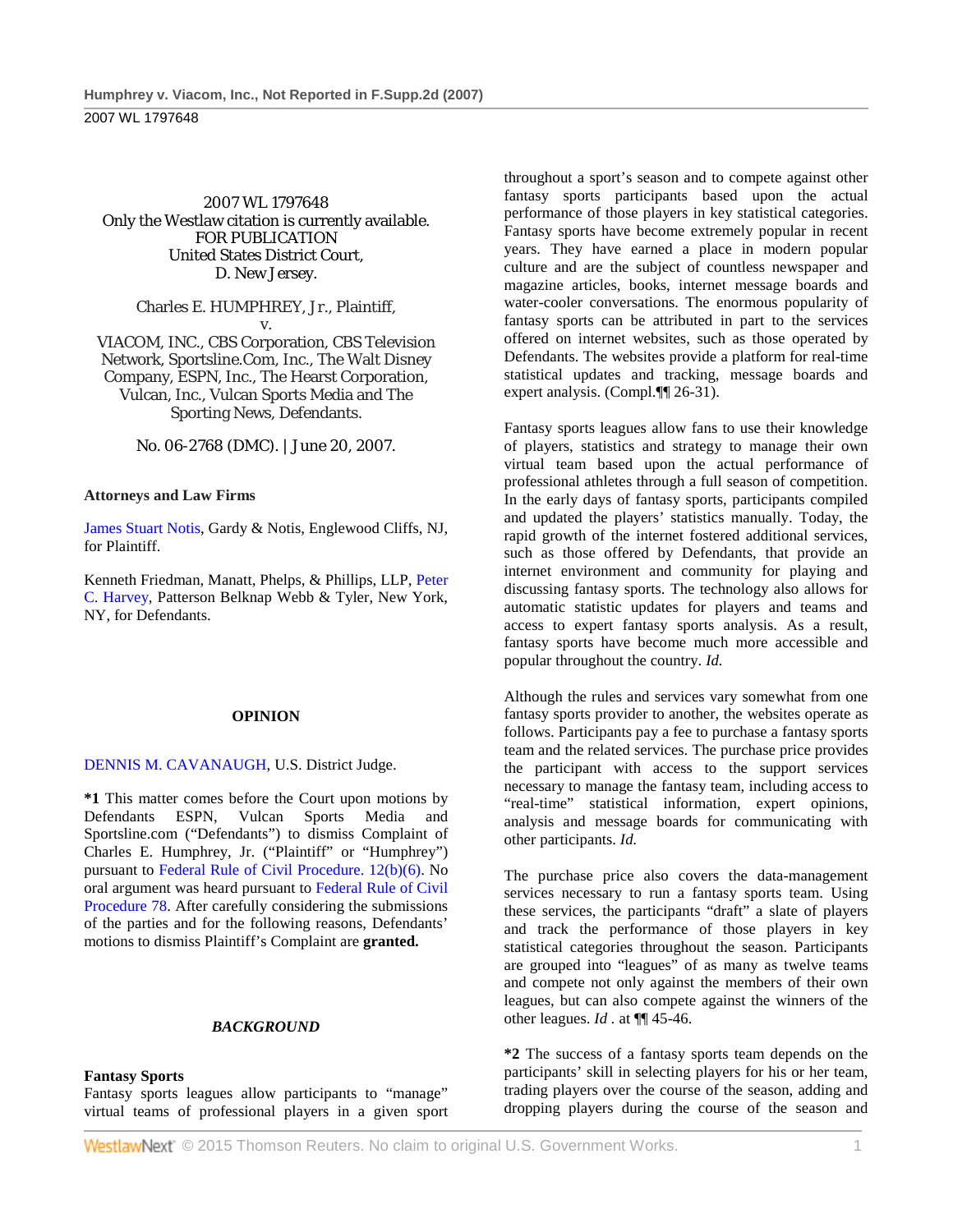### 2007 WL 1797648 Only the Westlaw citation is currently available. FOR PUBLICATION United States District Court, D. New Jersey.

Charles E. HUMPHREY, Jr., Plaintiff,

v. VIACOM, INC., CBS Corporation, CBS Television Network, Sportsline.Com, Inc., The Walt Disney Company, ESPN, Inc., The Hearst Corporation, Vulcan, Inc., Vulcan Sports Media and The Sporting News, Defendants.

No. 06-2768 (DMC). | June 20, 2007.

### **Attorneys and Law Firms**

[James Stuart Notis,](http://www.westlaw.com/Link/Document/FullText?findType=h&pubNum=176284&cite=0102664101&originatingDoc=I5dedf7b621c611dcaf8dafd7ee2b8b26&refType=RQ&originationContext=document&vr=3.0&rs=cblt1.0&transitionType=DocumentItem&contextData=(sc.UserEnteredCitation)) Gardy & Notis, Englewood Cliffs, NJ, for Plaintiff.

Kenneth Friedman, Manatt, Phelps, & Phillips, LLP, [Peter](http://www.westlaw.com/Link/Document/FullText?findType=h&pubNum=176284&cite=0169092101&originatingDoc=I5dedf7b621c611dcaf8dafd7ee2b8b26&refType=RQ&originationContext=document&vr=3.0&rs=cblt1.0&transitionType=DocumentItem&contextData=(sc.UserEnteredCitation))  [C. Harvey,](http://www.westlaw.com/Link/Document/FullText?findType=h&pubNum=176284&cite=0169092101&originatingDoc=I5dedf7b621c611dcaf8dafd7ee2b8b26&refType=RQ&originationContext=document&vr=3.0&rs=cblt1.0&transitionType=DocumentItem&contextData=(sc.UserEnteredCitation)) Patterson Belknap Webb & Tyler, New York, NY, for Defendants.

#### **OPINION**

#### [DENNIS M. CAVANAUGH,](http://www.westlaw.com/Link/Document/FullText?findType=h&pubNum=176284&cite=0148350401&originatingDoc=I5dedf7b621c611dcaf8dafd7ee2b8b26&refType=RQ&originationContext=document&vr=3.0&rs=cblt1.0&transitionType=DocumentItem&contextData=(sc.UserEnteredCitation)) U.S. District Judge.

**\*1** This matter comes before the Court upon motions by Defendants ESPN, Vulcan Sports Media and Sportsline.com ("Defendants") to dismiss Complaint of Charles E. Humphrey, Jr. ("Plaintiff" or "Humphrey") pursuant to [Federal Rule of Civil Procedure. 12\(b\)\(6\).](http://www.westlaw.com/Link/Document/FullText?findType=L&pubNum=1004365&cite=USFRCPR12&originatingDoc=I5dedf7b621c611dcaf8dafd7ee2b8b26&refType=LQ&originationContext=document&vr=3.0&rs=cblt1.0&transitionType=DocumentItem&contextData=(sc.UserEnteredCitation)) No oral argument was heard pursuant to [Federal Rule of Civil](http://www.westlaw.com/Link/Document/FullText?findType=L&pubNum=1004365&cite=USFRCPR78&originatingDoc=I5dedf7b621c611dcaf8dafd7ee2b8b26&refType=LQ&originationContext=document&vr=3.0&rs=cblt1.0&transitionType=DocumentItem&contextData=(sc.UserEnteredCitation))  [Procedure 78.](http://www.westlaw.com/Link/Document/FullText?findType=L&pubNum=1004365&cite=USFRCPR78&originatingDoc=I5dedf7b621c611dcaf8dafd7ee2b8b26&refType=LQ&originationContext=document&vr=3.0&rs=cblt1.0&transitionType=DocumentItem&contextData=(sc.UserEnteredCitation)) After carefully considering the submissions of the parties and for the following reasons, Defendants' motions to dismiss Plaintiff's Complaint are **granted.**

#### *BACKGROUND*

**Fantasy Sports**

Fantasy sports leagues allow participants to "manage" virtual teams of professional players in a given sport throughout a sport's season and to compete against other fantasy sports participants based upon the actual performance of those players in key statistical categories. Fantasy sports have become extremely popular in recent years. They have earned a place in modern popular culture and are the subject of countless newspaper and magazine articles, books, internet message boards and water-cooler conversations. The enormous popularity of fantasy sports can be attributed in part to the services offered on internet websites, such as those operated by Defendants. The websites provide a platform for real-time statistical updates and tracking, message boards and expert analysis. (Compl.¶¶ 26-31).

Fantasy sports leagues allow fans to use their knowledge of players, statistics and strategy to manage their own virtual team based upon the actual performance of professional athletes through a full season of competition. In the early days of fantasy sports, participants compiled and updated the players' statistics manually. Today, the rapid growth of the internet fostered additional services, such as those offered by Defendants, that provide an internet environment and community for playing and discussing fantasy sports. The technology also allows for automatic statistic updates for players and teams and access to expert fantasy sports analysis. As a result, fantasy sports have become much more accessible and popular throughout the country. *Id.*

Although the rules and services vary somewhat from one fantasy sports provider to another, the websites operate as follows. Participants pay a fee to purchase a fantasy sports team and the related services. The purchase price provides the participant with access to the support services necessary to manage the fantasy team, including access to "real-time" statistical information, expert opinions, analysis and message boards for communicating with other participants. *Id.*

The purchase price also covers the data-management services necessary to run a fantasy sports team. Using these services, the participants "draft" a slate of players and track the performance of those players in key statistical categories throughout the season. Participants are grouped into "leagues" of as many as twelve teams and compete not only against the members of their own leagues, but can also compete against the winners of the other leagues. *Id .* at ¶¶ 45-46.

**\*2** The success of a fantasy sports team depends on the participants' skill in selecting players for his or her team, trading players over the course of the season, adding and dropping players during the course of the season and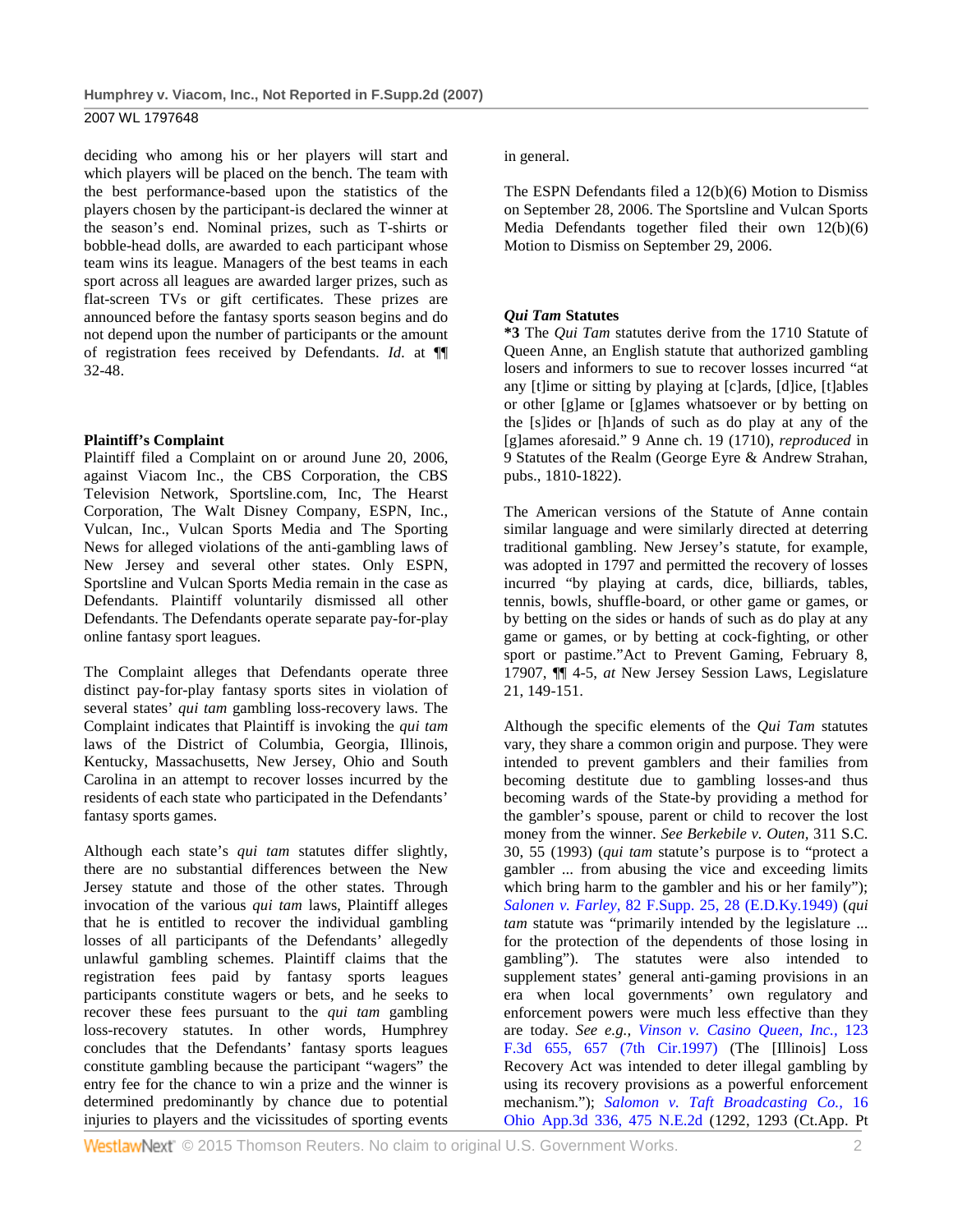deciding who among his or her players will start and which players will be placed on the bench. The team with the best performance-based upon the statistics of the players chosen by the participant-is declared the winner at the season's end. Nominal prizes, such as T-shirts or bobble-head dolls, are awarded to each participant whose team wins its league. Managers of the best teams in each sport across all leagues are awarded larger prizes, such as flat-screen TVs or gift certificates. These prizes are announced before the fantasy sports season begins and do not depend upon the number of participants or the amount of registration fees received by Defendants. *Id.* at ¶¶ 32-48.

# **Plaintiff's Complaint**

Plaintiff filed a Complaint on or around June 20, 2006, against Viacom Inc., the CBS Corporation, the CBS Television Network, Sportsline.com, Inc, The Hearst Corporation, The Walt Disney Company, ESPN, Inc., Vulcan, Inc., Vulcan Sports Media and The Sporting News for alleged violations of the anti-gambling laws of New Jersey and several other states. Only ESPN, Sportsline and Vulcan Sports Media remain in the case as Defendants. Plaintiff voluntarily dismissed all other Defendants. The Defendants operate separate pay-for-play online fantasy sport leagues.

The Complaint alleges that Defendants operate three distinct pay-for-play fantasy sports sites in violation of several states' *qui tam* gambling loss-recovery laws. The Complaint indicates that Plaintiff is invoking the *qui tam* laws of the District of Columbia, Georgia, Illinois, Kentucky, Massachusetts, New Jersey, Ohio and South Carolina in an attempt to recover losses incurred by the residents of each state who participated in the Defendants' fantasy sports games.

Although each state's *qui tam* statutes differ slightly, there are no substantial differences between the New Jersey statute and those of the other states. Through invocation of the various *qui tam* laws, Plaintiff alleges that he is entitled to recover the individual gambling losses of all participants of the Defendants' allegedly unlawful gambling schemes. Plaintiff claims that the registration fees paid by fantasy sports leagues participants constitute wagers or bets, and he seeks to recover these fees pursuant to the *qui tam* gambling loss-recovery statutes. In other words, Humphrey concludes that the Defendants' fantasy sports leagues constitute gambling because the participant "wagers" the entry fee for the chance to win a prize and the winner is determined predominantly by chance due to potential injuries to players and the vicissitudes of sporting events

in general.

The ESPN Defendants filed a 12(b)(6) Motion to Dismiss on September 28, 2006. The Sportsline and Vulcan Sports Media Defendants together filed their own 12(b)(6) Motion to Dismiss on September 29, 2006.

# *Qui Tam* **Statutes**

**\*3** The *Qui Tam* statutes derive from the 1710 Statute of Queen Anne, an English statute that authorized gambling losers and informers to sue to recover losses incurred "at any [t]ime or sitting by playing at [c]ards, [d]ice, [t]ables or other [g]ame or [g]ames whatsoever or by betting on the [s]ides or [h]ands of such as do play at any of the [g]ames aforesaid." 9 Anne ch. 19 (1710), *reproduced* in 9 Statutes of the Realm (George Eyre & Andrew Strahan, pubs., 1810-1822).

The American versions of the Statute of Anne contain similar language and were similarly directed at deterring traditional gambling. New Jersey's statute, for example, was adopted in 1797 and permitted the recovery of losses incurred "by playing at cards, dice, billiards, tables, tennis, bowls, shuffle-board, or other game or games, or by betting on the sides or hands of such as do play at any game or games, or by betting at cock-fighting, or other sport or pastime."Act to Prevent Gaming, February 8, 17907, ¶¶ 4-5, *at* New Jersey Session Laws, Legislature 21, 149-151.

Although the specific elements of the *Qui Tam* statutes vary, they share a common origin and purpose. They were intended to prevent gamblers and their families from becoming destitute due to gambling losses-and thus becoming wards of the State-by providing a method for the gambler's spouse, parent or child to recover the lost money from the winner. *See Berkebile v. Outen,* 311 S.C. 30, 55 (1993) (*qui tam* statute's purpose is to "protect a gambler ... from abusing the vice and exceeding limits which bring harm to the gambler and his or her family"); *Salonen v. Farley,* [82 F.Supp. 25, 28 \(E.D.Ky.1949\)](http://www.westlaw.com/Link/Document/FullText?findType=Y&serNum=1949118567&pubNum=345&originatingDoc=I5dedf7b621c611dcaf8dafd7ee2b8b26&refType=RP&fi=co_pp_sp_345_28&originationContext=document&vr=3.0&rs=cblt1.0&transitionType=DocumentItem&contextData=(sc.UserEnteredCitation)#co_pp_sp_345_28) (*qui tam* statute was "primarily intended by the legislature ... for the protection of the dependents of those losing in gambling"). The statutes were also intended to supplement states' general anti-gaming provisions in an era when local governments' own regulatory and enforcement powers were much less effective than they are today. *See e.g., [Vinson v. Casino Queen, Inc.,](http://www.westlaw.com/Link/Document/FullText?findType=Y&serNum=1997178546&pubNum=506&originatingDoc=I5dedf7b621c611dcaf8dafd7ee2b8b26&refType=RP&fi=co_pp_sp_506_657&originationContext=document&vr=3.0&rs=cblt1.0&transitionType=DocumentItem&contextData=(sc.UserEnteredCitation)#co_pp_sp_506_657)* 123 [F.3d 655, 657 \(7th Cir.1997\)](http://www.westlaw.com/Link/Document/FullText?findType=Y&serNum=1997178546&pubNum=506&originatingDoc=I5dedf7b621c611dcaf8dafd7ee2b8b26&refType=RP&fi=co_pp_sp_506_657&originationContext=document&vr=3.0&rs=cblt1.0&transitionType=DocumentItem&contextData=(sc.UserEnteredCitation)#co_pp_sp_506_657) (The [Illinois] Loss Recovery Act was intended to deter illegal gambling by using its recovery provisions as a powerful enforcement mechanism."); *[Salomon v. Taft Broadcasting Co.,](http://www.westlaw.com/Link/Document/FullText?findType=Y&serNum=1985116926&pubNum=994&originatingDoc=I5dedf7b621c611dcaf8dafd7ee2b8b26&refType=RP&originationContext=document&vr=3.0&rs=cblt1.0&transitionType=DocumentItem&contextData=(sc.UserEnteredCitation))* 16 [Ohio App.3d 336, 475 N.E.2d \(](http://www.westlaw.com/Link/Document/FullText?findType=Y&serNum=1985116926&pubNum=994&originatingDoc=I5dedf7b621c611dcaf8dafd7ee2b8b26&refType=RP&originationContext=document&vr=3.0&rs=cblt1.0&transitionType=DocumentItem&contextData=(sc.UserEnteredCitation))1292, 1293 (Ct.App. Pt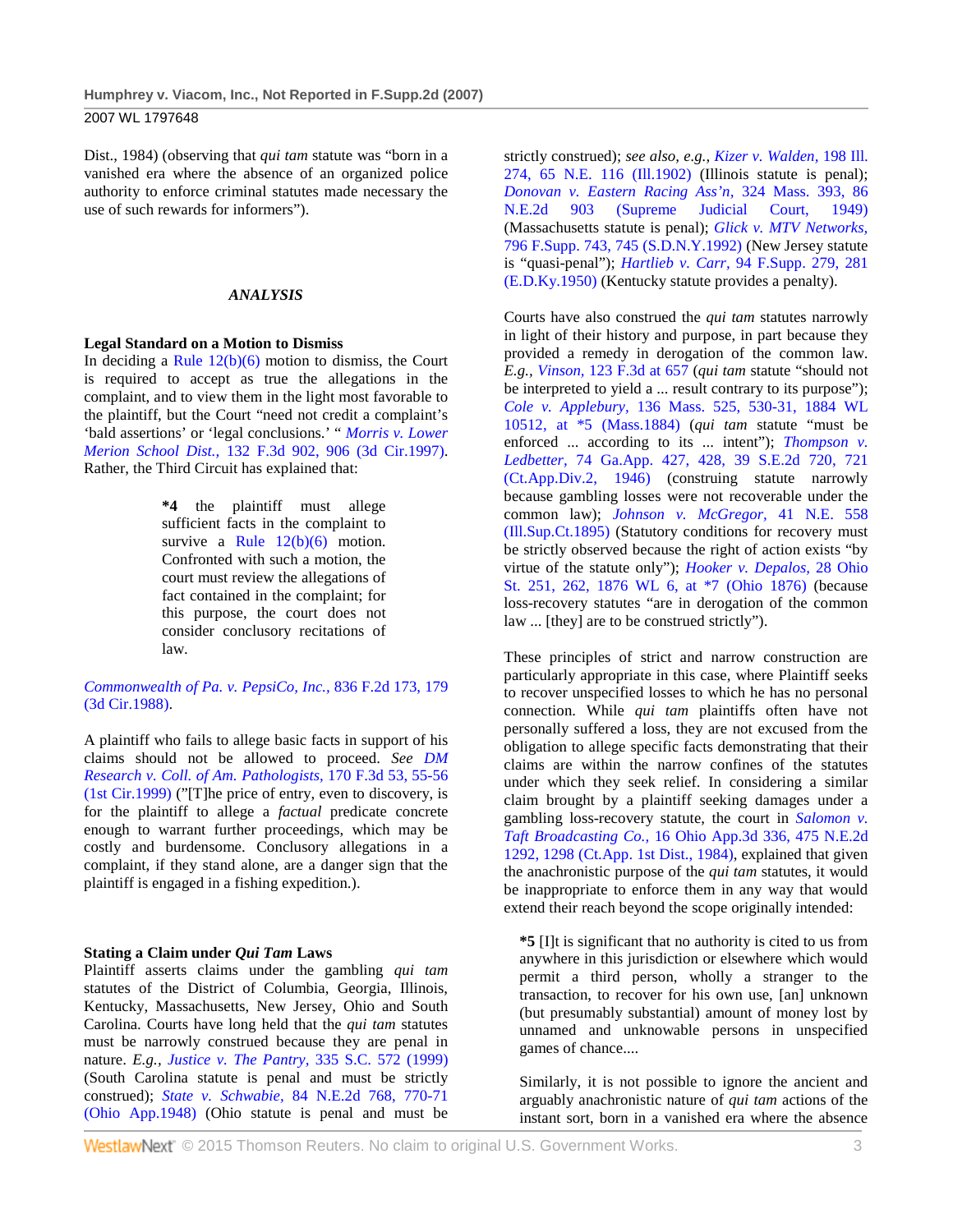Dist., 1984) (observing that *qui tam* statute was "born in a vanished era where the absence of an organized police authority to enforce criminal statutes made necessary the use of such rewards for informers").

### *ANALYSIS*

### **Legal Standard on a Motion to Dismiss**

In deciding a Rule  $12(b)(6)$  motion to dismiss, the Court is required to accept as true the allegations in the complaint, and to view them in the light most favorable to the plaintiff, but the Court "need not credit a complaint's 'bald assertions' or 'legal conclusions.' " *[Morris v. Lower](http://www.westlaw.com/Link/Document/FullText?findType=Y&serNum=1997249145&pubNum=506&originatingDoc=I5dedf7b621c611dcaf8dafd7ee2b8b26&refType=RP&fi=co_pp_sp_506_906&originationContext=document&vr=3.0&rs=cblt1.0&transitionType=DocumentItem&contextData=(sc.UserEnteredCitation)#co_pp_sp_506_906)  Merion School Dist.,* [132 F.3d 902, 906 \(3d Cir.1997\).](http://www.westlaw.com/Link/Document/FullText?findType=Y&serNum=1997249145&pubNum=506&originatingDoc=I5dedf7b621c611dcaf8dafd7ee2b8b26&refType=RP&fi=co_pp_sp_506_906&originationContext=document&vr=3.0&rs=cblt1.0&transitionType=DocumentItem&contextData=(sc.UserEnteredCitation)#co_pp_sp_506_906)  Rather, the Third Circuit has explained that:

> **\*4** the plaintiff must allege sufficient facts in the complaint to survive a Rule  $12(b)(6)$  motion. Confronted with such a motion, the court must review the allegations of fact contained in the complaint; for this purpose, the court does not consider conclusory recitations of law.

*[Commonwealth of Pa. v. PepsiCo, Inc.,](http://www.westlaw.com/Link/Document/FullText?findType=Y&serNum=1988004335&pubNum=350&originatingDoc=I5dedf7b621c611dcaf8dafd7ee2b8b26&refType=RP&fi=co_pp_sp_350_179&originationContext=document&vr=3.0&rs=cblt1.0&transitionType=DocumentItem&contextData=(sc.UserEnteredCitation)#co_pp_sp_350_179)* 836 F.2d 173, 179 [\(3d Cir.1988\).](http://www.westlaw.com/Link/Document/FullText?findType=Y&serNum=1988004335&pubNum=350&originatingDoc=I5dedf7b621c611dcaf8dafd7ee2b8b26&refType=RP&fi=co_pp_sp_350_179&originationContext=document&vr=3.0&rs=cblt1.0&transitionType=DocumentItem&contextData=(sc.UserEnteredCitation)#co_pp_sp_350_179)

A plaintiff who fails to allege basic facts in support of his claims should not be allowed to proceed. *See [DM](http://www.westlaw.com/Link/Document/FullText?findType=Y&serNum=1999068125&pubNum=506&originatingDoc=I5dedf7b621c611dcaf8dafd7ee2b8b26&refType=RP&fi=co_pp_sp_506_55&originationContext=document&vr=3.0&rs=cblt1.0&transitionType=DocumentItem&contextData=(sc.UserEnteredCitation)#co_pp_sp_506_55)  [Research v. Coll. of Am. Pathologists,](http://www.westlaw.com/Link/Document/FullText?findType=Y&serNum=1999068125&pubNum=506&originatingDoc=I5dedf7b621c611dcaf8dafd7ee2b8b26&refType=RP&fi=co_pp_sp_506_55&originationContext=document&vr=3.0&rs=cblt1.0&transitionType=DocumentItem&contextData=(sc.UserEnteredCitation)#co_pp_sp_506_55)* 170 F.3d 53, 55-56 [\(1st Cir.1999\)](http://www.westlaw.com/Link/Document/FullText?findType=Y&serNum=1999068125&pubNum=506&originatingDoc=I5dedf7b621c611dcaf8dafd7ee2b8b26&refType=RP&fi=co_pp_sp_506_55&originationContext=document&vr=3.0&rs=cblt1.0&transitionType=DocumentItem&contextData=(sc.UserEnteredCitation)#co_pp_sp_506_55) ("[T]he price of entry, even to discovery, is for the plaintiff to allege a *factual* predicate concrete enough to warrant further proceedings, which may be costly and burdensome. Conclusory allegations in a complaint, if they stand alone, are a danger sign that the plaintiff is engaged in a fishing expedition.).

### **Stating a Claim under** *Qui Tam* **Laws**

Plaintiff asserts claims under the gambling *qui tam* statutes of the District of Columbia, Georgia, Illinois, Kentucky, Massachusetts, New Jersey, Ohio and South Carolina. Courts have long held that the *qui tam* statutes must be narrowly construed because they are penal in nature. *E.g., [Justice v. The Pantry,](http://www.westlaw.com/Link/Document/FullText?findType=Y&serNum=1999173378&pubNum=705&originatingDoc=I5dedf7b621c611dcaf8dafd7ee2b8b26&refType=RP&originationContext=document&vr=3.0&rs=cblt1.0&transitionType=DocumentItem&contextData=(sc.UserEnteredCitation))* 335 S.C. 572 (1999) (South Carolina statute is penal and must be strictly construed); *State v. Schwabie,* [84 N.E.2d 768, 770-71](http://www.westlaw.com/Link/Document/FullText?findType=Y&serNum=1900143461&pubNum=578&originatingDoc=I5dedf7b621c611dcaf8dafd7ee2b8b26&refType=RP&fi=co_pp_sp_578_770&originationContext=document&vr=3.0&rs=cblt1.0&transitionType=DocumentItem&contextData=(sc.UserEnteredCitation)#co_pp_sp_578_770)  [\(Ohio App.1948\)](http://www.westlaw.com/Link/Document/FullText?findType=Y&serNum=1900143461&pubNum=578&originatingDoc=I5dedf7b621c611dcaf8dafd7ee2b8b26&refType=RP&fi=co_pp_sp_578_770&originationContext=document&vr=3.0&rs=cblt1.0&transitionType=DocumentItem&contextData=(sc.UserEnteredCitation)#co_pp_sp_578_770) (Ohio statute is penal and must be

strictly construed); *see also, e.g., [Kizer v. Walden,](http://www.westlaw.com/Link/Document/FullText?findType=Y&serNum=1902002255&pubNum=577&originatingDoc=I5dedf7b621c611dcaf8dafd7ee2b8b26&refType=RP&originationContext=document&vr=3.0&rs=cblt1.0&transitionType=DocumentItem&contextData=(sc.UserEnteredCitation))* 198 Ill. [274, 65 N.E. 116 \(Ill.1902\)](http://www.westlaw.com/Link/Document/FullText?findType=Y&serNum=1902002255&pubNum=577&originatingDoc=I5dedf7b621c611dcaf8dafd7ee2b8b26&refType=RP&originationContext=document&vr=3.0&rs=cblt1.0&transitionType=DocumentItem&contextData=(sc.UserEnteredCitation)) (Illinois statute is penal); *[Donovan v. Eastern Racing Ass'n,](http://www.westlaw.com/Link/Document/FullText?findType=Y&serNum=1949108462&pubNum=578&originatingDoc=I5dedf7b621c611dcaf8dafd7ee2b8b26&refType=RP&originationContext=document&vr=3.0&rs=cblt1.0&transitionType=DocumentItem&contextData=(sc.UserEnteredCitation))* 324 Mass. 393, 86 [N.E.2d 903 \(Supreme Judicial Court, 1949\)](http://www.westlaw.com/Link/Document/FullText?findType=Y&serNum=1949108462&pubNum=578&originatingDoc=I5dedf7b621c611dcaf8dafd7ee2b8b26&refType=RP&originationContext=document&vr=3.0&rs=cblt1.0&transitionType=DocumentItem&contextData=(sc.UserEnteredCitation)) (Massachusetts statute is penal); *[Glick v. MTV Networks,](http://www.westlaw.com/Link/Document/FullText?findType=Y&serNum=1992114467&pubNum=345&originatingDoc=I5dedf7b621c611dcaf8dafd7ee2b8b26&refType=RP&fi=co_pp_sp_345_745&originationContext=document&vr=3.0&rs=cblt1.0&transitionType=DocumentItem&contextData=(sc.UserEnteredCitation)#co_pp_sp_345_745)* [796 F.Supp. 743, 745 \(S.D.N.Y.1992\)](http://www.westlaw.com/Link/Document/FullText?findType=Y&serNum=1992114467&pubNum=345&originatingDoc=I5dedf7b621c611dcaf8dafd7ee2b8b26&refType=RP&fi=co_pp_sp_345_745&originationContext=document&vr=3.0&rs=cblt1.0&transitionType=DocumentItem&contextData=(sc.UserEnteredCitation)#co_pp_sp_345_745) (New Jersey statute is "quasi-penal"); *Hartlieb v. Carr,* [94 F.Supp. 279, 281](http://www.westlaw.com/Link/Document/FullText?findType=Y&serNum=1951117602&pubNum=345&originatingDoc=I5dedf7b621c611dcaf8dafd7ee2b8b26&refType=RP&fi=co_pp_sp_345_281&originationContext=document&vr=3.0&rs=cblt1.0&transitionType=DocumentItem&contextData=(sc.UserEnteredCitation)#co_pp_sp_345_281)  [\(E.D.Ky.1950\)](http://www.westlaw.com/Link/Document/FullText?findType=Y&serNum=1951117602&pubNum=345&originatingDoc=I5dedf7b621c611dcaf8dafd7ee2b8b26&refType=RP&fi=co_pp_sp_345_281&originationContext=document&vr=3.0&rs=cblt1.0&transitionType=DocumentItem&contextData=(sc.UserEnteredCitation)#co_pp_sp_345_281) (Kentucky statute provides a penalty).

Courts have also construed the *qui tam* statutes narrowly in light of their history and purpose, in part because they provided a remedy in derogation of the common law. *E.g., Vinson,* [123 F.3d at 657](http://www.westlaw.com/Link/Document/FullText?findType=Y&serNum=1997178546&pubNum=506&originatingDoc=I5dedf7b621c611dcaf8dafd7ee2b8b26&refType=RP&fi=co_pp_sp_506_657&originationContext=document&vr=3.0&rs=cblt1.0&transitionType=DocumentItem&contextData=(sc.UserEnteredCitation)#co_pp_sp_506_657) (*qui tam* statute "should not be interpreted to yield a ... result contrary to its purpose"); *Cole v. Applebury,* [136 Mass. 525, 530-31, 1884 WL](http://www.westlaw.com/Link/Document/FullText?findType=Y&serNum=1884025041&pubNum=0000999&originatingDoc=I5dedf7b621c611dcaf8dafd7ee2b8b26&refType=RP&originationContext=document&vr=3.0&rs=cblt1.0&transitionType=DocumentItem&contextData=(sc.UserEnteredCitation))  [10512, at \\*5 \(Mass.1884\)](http://www.westlaw.com/Link/Document/FullText?findType=Y&serNum=1884025041&pubNum=0000999&originatingDoc=I5dedf7b621c611dcaf8dafd7ee2b8b26&refType=RP&originationContext=document&vr=3.0&rs=cblt1.0&transitionType=DocumentItem&contextData=(sc.UserEnteredCitation)) (*qui tam* statute "must be enforced ... according to its ... intent"); *Thompson v. Ledbetter,* [74 Ga.App. 427, 428, 39 S.E.2d 720, 721](http://www.westlaw.com/Link/Document/FullText?findType=Y&serNum=1946103711&pubNum=711&originatingDoc=I5dedf7b621c611dcaf8dafd7ee2b8b26&refType=RP&fi=co_pp_sp_711_721&originationContext=document&vr=3.0&rs=cblt1.0&transitionType=DocumentItem&contextData=(sc.UserEnteredCitation)#co_pp_sp_711_721)  [\(Ct.App.Div.2, 1946\)](http://www.westlaw.com/Link/Document/FullText?findType=Y&serNum=1946103711&pubNum=711&originatingDoc=I5dedf7b621c611dcaf8dafd7ee2b8b26&refType=RP&fi=co_pp_sp_711_721&originationContext=document&vr=3.0&rs=cblt1.0&transitionType=DocumentItem&contextData=(sc.UserEnteredCitation)#co_pp_sp_711_721) (construing statute narrowly because gambling losses were not recoverable under the common law); *[Johnson v. McGregor,](http://www.westlaw.com/Link/Document/FullText?findType=Y&serNum=1895000925&pubNum=577&originatingDoc=I5dedf7b621c611dcaf8dafd7ee2b8b26&refType=RP&originationContext=document&vr=3.0&rs=cblt1.0&transitionType=DocumentItem&contextData=(sc.UserEnteredCitation))* 41 N.E. 558 [\(Ill.Sup.Ct.1895\)](http://www.westlaw.com/Link/Document/FullText?findType=Y&serNum=1895000925&pubNum=577&originatingDoc=I5dedf7b621c611dcaf8dafd7ee2b8b26&refType=RP&originationContext=document&vr=3.0&rs=cblt1.0&transitionType=DocumentItem&contextData=(sc.UserEnteredCitation)) (Statutory conditions for recovery must be strictly observed because the right of action exists "by virtue of the statute only"); *[Hooker v. Depalos,](http://www.westlaw.com/Link/Document/FullText?findType=Y&serNum=1876000299&pubNum=633&originatingDoc=I5dedf7b621c611dcaf8dafd7ee2b8b26&refType=RP&fi=co_pp_sp_633_262&originationContext=document&vr=3.0&rs=cblt1.0&transitionType=DocumentItem&contextData=(sc.UserEnteredCitation)#co_pp_sp_633_262)* 28 Ohio [St. 251, 262, 1876 WL 6, at \\*7 \(Ohio 1876\)](http://www.westlaw.com/Link/Document/FullText?findType=Y&serNum=1876000299&pubNum=633&originatingDoc=I5dedf7b621c611dcaf8dafd7ee2b8b26&refType=RP&fi=co_pp_sp_633_262&originationContext=document&vr=3.0&rs=cblt1.0&transitionType=DocumentItem&contextData=(sc.UserEnteredCitation)#co_pp_sp_633_262) (because loss-recovery statutes "are in derogation of the common law ... [they] are to be construed strictly").

These principles of strict and narrow construction are particularly appropriate in this case, where Plaintiff seeks to recover unspecified losses to which he has no personal connection. While *qui tam* plaintiffs often have not personally suffered a loss, they are not excused from the obligation to allege specific facts demonstrating that their claims are within the narrow confines of the statutes under which they seek relief. In considering a similar claim brought by a plaintiff seeking damages under a gambling loss-recovery statute, the court in *[Salomon v.](http://www.westlaw.com/Link/Document/FullText?findType=Y&serNum=1985116926&pubNum=578&originatingDoc=I5dedf7b621c611dcaf8dafd7ee2b8b26&refType=RP&fi=co_pp_sp_578_1298&originationContext=document&vr=3.0&rs=cblt1.0&transitionType=DocumentItem&contextData=(sc.UserEnteredCitation)#co_pp_sp_578_1298)  Taft Broadcasting Co.,* [16 Ohio App.3d 336, 475 N.E.2d](http://www.westlaw.com/Link/Document/FullText?findType=Y&serNum=1985116926&pubNum=578&originatingDoc=I5dedf7b621c611dcaf8dafd7ee2b8b26&refType=RP&fi=co_pp_sp_578_1298&originationContext=document&vr=3.0&rs=cblt1.0&transitionType=DocumentItem&contextData=(sc.UserEnteredCitation)#co_pp_sp_578_1298)  [1292, 1298 \(Ct.App. 1st Dist., 1984\),](http://www.westlaw.com/Link/Document/FullText?findType=Y&serNum=1985116926&pubNum=578&originatingDoc=I5dedf7b621c611dcaf8dafd7ee2b8b26&refType=RP&fi=co_pp_sp_578_1298&originationContext=document&vr=3.0&rs=cblt1.0&transitionType=DocumentItem&contextData=(sc.UserEnteredCitation)#co_pp_sp_578_1298) explained that given the anachronistic purpose of the *qui tam* statutes, it would be inappropriate to enforce them in any way that would extend their reach beyond the scope originally intended:

**\*5** [I]t is significant that no authority is cited to us from anywhere in this jurisdiction or elsewhere which would permit a third person, wholly a stranger to the transaction, to recover for his own use, [an] unknown (but presumably substantial) amount of money lost by unnamed and unknowable persons in unspecified games of chance....

Similarly, it is not possible to ignore the ancient and arguably anachronistic nature of *qui tam* actions of the instant sort, born in a vanished era where the absence

**WestlawNext** © 2015 Thomson Reuters. No claim to original U.S. Government Works. 3 3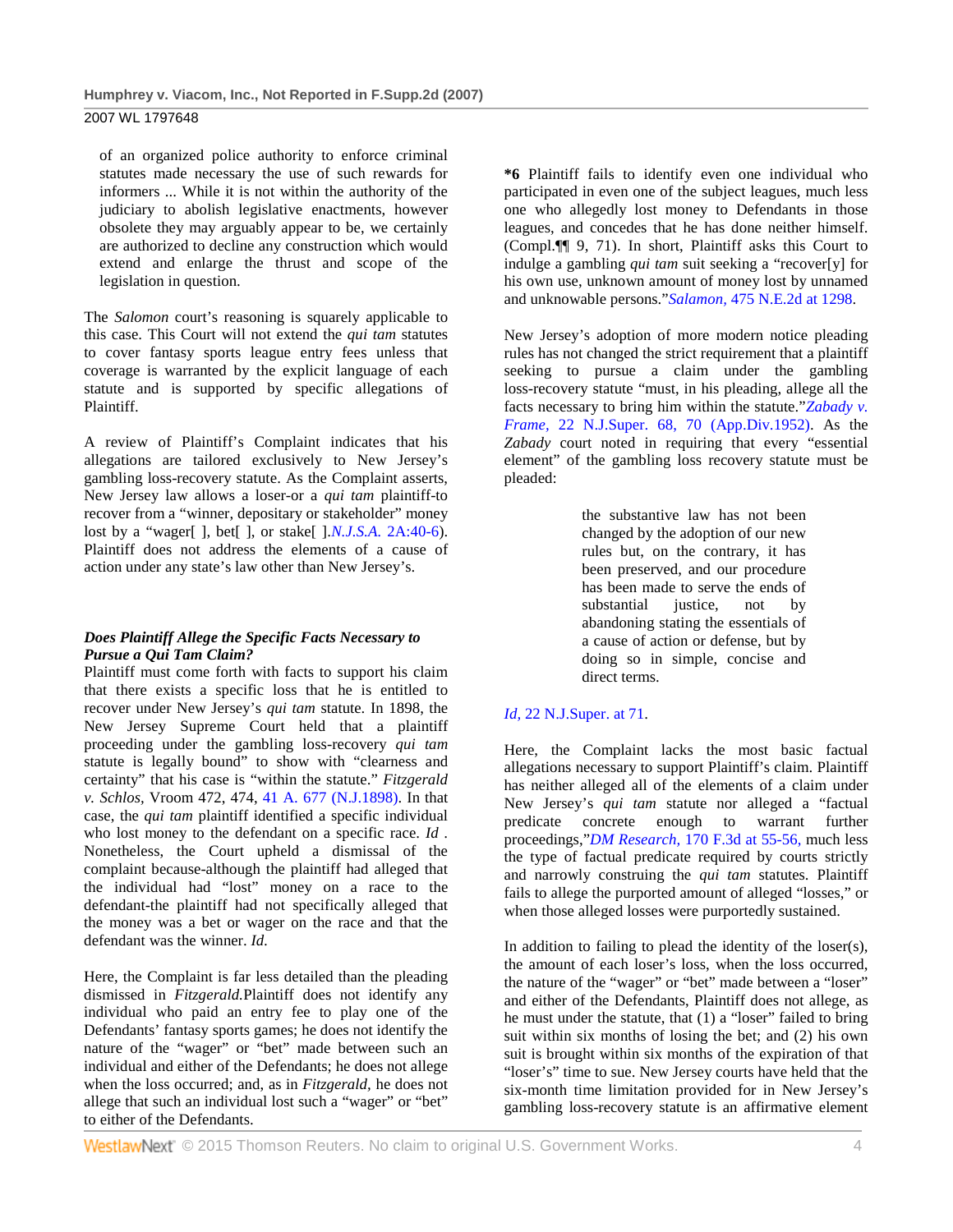of an organized police authority to enforce criminal statutes made necessary the use of such rewards for informers ... While it is not within the authority of the judiciary to abolish legislative enactments, however obsolete they may arguably appear to be, we certainly are authorized to decline any construction which would extend and enlarge the thrust and scope of the legislation in question.

The *Salomon* court's reasoning is squarely applicable to this case. This Court will not extend the *qui tam* statutes to cover fantasy sports league entry fees unless that coverage is warranted by the explicit language of each statute and is supported by specific allegations of Plaintiff.

A review of Plaintiff's Complaint indicates that his allegations are tailored exclusively to New Jersey's gambling loss-recovery statute. As the Complaint asserts, New Jersey law allows a loser-or a *qui tam* plaintiff-to recover from a "winner, depositary or stakeholder" money lost by a "wager[ ], bet[ ], or stake[ ].*N.J.S.A.* [2A:40-6\)](http://www.westlaw.com/Link/Document/FullText?findType=L&pubNum=1000045&cite=NJST2A%3a40-6&originatingDoc=I5dedf7b621c611dcaf8dafd7ee2b8b26&refType=LQ&originationContext=document&vr=3.0&rs=cblt1.0&transitionType=DocumentItem&contextData=(sc.UserEnteredCitation)). Plaintiff does not address the elements of a cause of action under any state's law other than New Jersey's.

# *Does Plaintiff Allege the Specific Facts Necessary to Pursue a Qui Tam Claim?*

Plaintiff must come forth with facts to support his claim that there exists a specific loss that he is entitled to recover under New Jersey's *qui tam* statute. In 1898, the New Jersey Supreme Court held that a plaintiff proceeding under the gambling loss-recovery *qui tam* statute is legally bound" to show with "clearness and certainty" that his case is "within the statute." *Fitzgerald v. Schlos,* Vroom 472, 474, [41 A. 677 \(N.J.1898\).](http://www.westlaw.com/Link/Document/FullText?findType=Y&pubNum=161&cite=41AT677&originatingDoc=I5dedf7b621c611dcaf8dafd7ee2b8b26&refType=RP&originationContext=document&vr=3.0&rs=cblt1.0&transitionType=DocumentItem&contextData=(sc.UserEnteredCitation)) In that case, the *qui tam* plaintiff identified a specific individual who lost money to the defendant on a specific race. *Id .* Nonetheless, the Court upheld a dismissal of the complaint because-although the plaintiff had alleged that the individual had "lost" money on a race to the defendant-the plaintiff had not specifically alleged that the money was a bet or wager on the race and that the defendant was the winner. *Id.*

Here, the Complaint is far less detailed than the pleading dismissed in *Fitzgerald.*Plaintiff does not identify any individual who paid an entry fee to play one of the Defendants' fantasy sports games; he does not identify the nature of the "wager" or "bet" made between such an individual and either of the Defendants; he does not allege when the loss occurred; and, as in *Fitzgerald,* he does not allege that such an individual lost such a "wager" or "bet" to either of the Defendants.

**\*6** Plaintiff fails to identify even one individual who participated in even one of the subject leagues, much less one who allegedly lost money to Defendants in those leagues, and concedes that he has done neither himself. (Compl.¶¶ 9, 71). In short, Plaintiff asks this Court to indulge a gambling *qui tam* suit seeking a "recover[y] for his own use, unknown amount of money lost by unnamed and unknowable persons."*Salamon,* [475 N.E.2d at 1298.](http://www.westlaw.com/Link/Document/FullText?findType=Y&serNum=1985116926&pubNum=578&originatingDoc=I5dedf7b621c611dcaf8dafd7ee2b8b26&refType=RP&fi=co_pp_sp_578_1298&originationContext=document&vr=3.0&rs=cblt1.0&transitionType=DocumentItem&contextData=(sc.UserEnteredCitation)#co_pp_sp_578_1298)

New Jersey's adoption of more modern notice pleading rules has not changed the strict requirement that a plaintiff seeking to pursue a claim under the gambling loss-recovery statute "must, in his pleading, allege all the facts necessary to bring him within the statute."*[Zabady v.](http://www.westlaw.com/Link/Document/FullText?findType=Y&serNum=1952111071&pubNum=590&originatingDoc=I5dedf7b621c611dcaf8dafd7ee2b8b26&refType=RP&fi=co_pp_sp_590_70&originationContext=document&vr=3.0&rs=cblt1.0&transitionType=DocumentItem&contextData=(sc.UserEnteredCitation)#co_pp_sp_590_70)  Frame,* [22 N.J.Super. 68, 70 \(App.Div.1952\).](http://www.westlaw.com/Link/Document/FullText?findType=Y&serNum=1952111071&pubNum=590&originatingDoc=I5dedf7b621c611dcaf8dafd7ee2b8b26&refType=RP&fi=co_pp_sp_590_70&originationContext=document&vr=3.0&rs=cblt1.0&transitionType=DocumentItem&contextData=(sc.UserEnteredCitation)#co_pp_sp_590_70) As the *Zabady* court noted in requiring that every "essential element" of the gambling loss recovery statute must be pleaded:

> the substantive law has not been changed by the adoption of our new rules but, on the contrary, it has been preserved, and our procedure has been made to serve the ends of substantial justice, not by abandoning stating the essentials of a cause of action or defense, but by doing so in simple, concise and direct terms.

# *Id,* [22 N.J.Super. at 71.](http://www.westlaw.com/Link/Document/FullText?findType=Y&serNum=1952111071&pubNum=590&originatingDoc=I5dedf7b621c611dcaf8dafd7ee2b8b26&refType=RP&fi=co_pp_sp_590_71&originationContext=document&vr=3.0&rs=cblt1.0&transitionType=DocumentItem&contextData=(sc.UserEnteredCitation)#co_pp_sp_590_71)

Here, the Complaint lacks the most basic factual allegations necessary to support Plaintiff's claim. Plaintiff has neither alleged all of the elements of a claim under New Jersey's *qui tam* statute nor alleged a "factual predicate concrete enough to warrant further proceedings,"*DM Research,* [170 F.3d at 55-56,](http://www.westlaw.com/Link/Document/FullText?findType=Y&serNum=1999068125&pubNum=506&originatingDoc=I5dedf7b621c611dcaf8dafd7ee2b8b26&refType=RP&fi=co_pp_sp_506_55&originationContext=document&vr=3.0&rs=cblt1.0&transitionType=DocumentItem&contextData=(sc.UserEnteredCitation)#co_pp_sp_506_55) much less the type of factual predicate required by courts strictly and narrowly construing the *qui tam* statutes. Plaintiff fails to allege the purported amount of alleged "losses," or when those alleged losses were purportedly sustained.

In addition to failing to plead the identity of the loser(s), the amount of each loser's loss, when the loss occurred, the nature of the "wager" or "bet" made between a "loser" and either of the Defendants, Plaintiff does not allege, as he must under the statute, that (1) a "loser" failed to bring suit within six months of losing the bet; and (2) his own suit is brought within six months of the expiration of that "loser's" time to sue. New Jersey courts have held that the six-month time limitation provided for in New Jersey's gambling loss-recovery statute is an affirmative element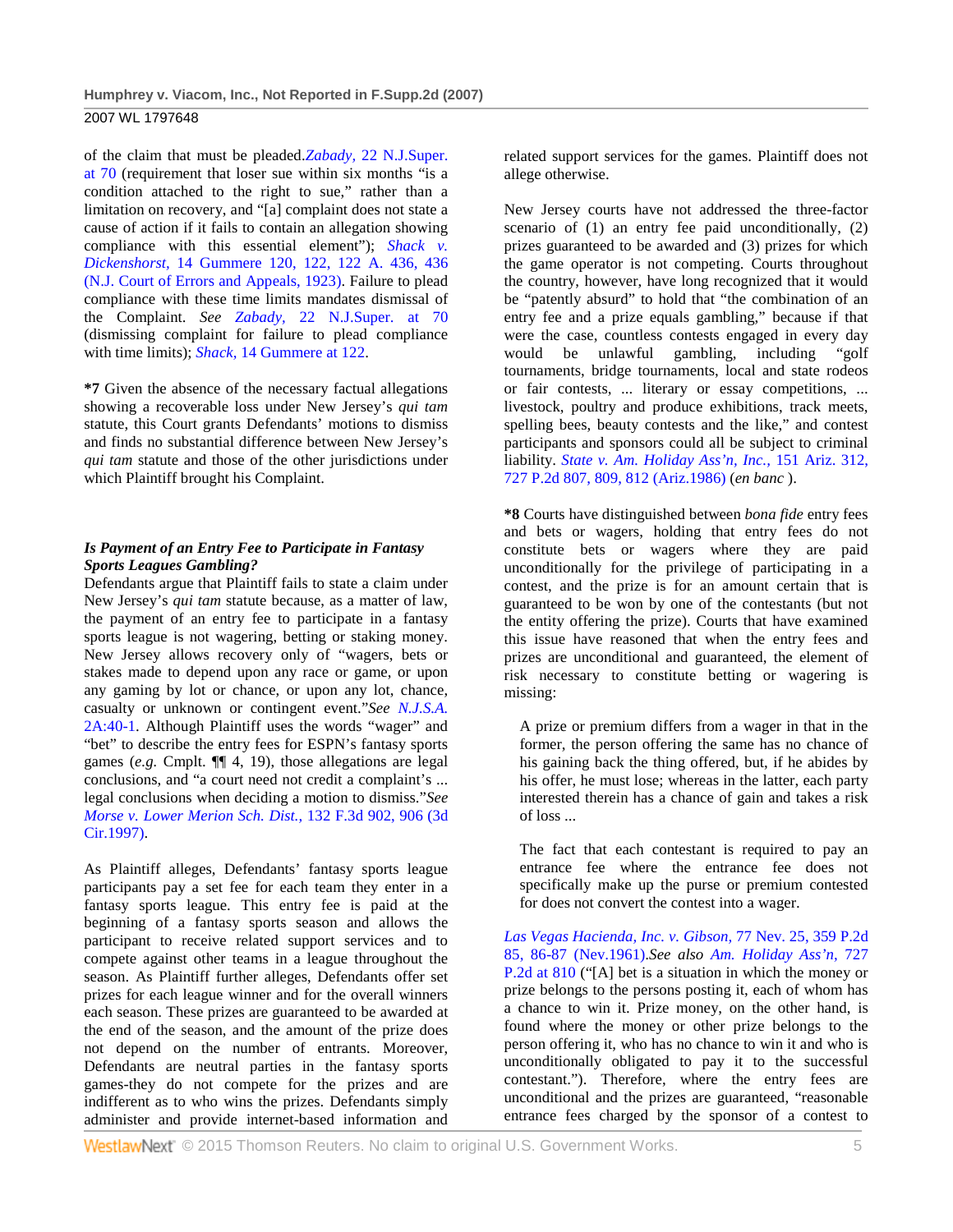of the claim that must be pleaded.*Zabady,* [22 N.J.Super.](http://www.westlaw.com/Link/Document/FullText?findType=Y&serNum=1952111071&pubNum=590&originatingDoc=I5dedf7b621c611dcaf8dafd7ee2b8b26&refType=RP&fi=co_pp_sp_590_70&originationContext=document&vr=3.0&rs=cblt1.0&transitionType=DocumentItem&contextData=(sc.UserEnteredCitation)#co_pp_sp_590_70)  [at 70](http://www.westlaw.com/Link/Document/FullText?findType=Y&serNum=1952111071&pubNum=590&originatingDoc=I5dedf7b621c611dcaf8dafd7ee2b8b26&refType=RP&fi=co_pp_sp_590_70&originationContext=document&vr=3.0&rs=cblt1.0&transitionType=DocumentItem&contextData=(sc.UserEnteredCitation)#co_pp_sp_590_70) (requirement that loser sue within six months "is a condition attached to the right to sue," rather than a limitation on recovery, and "[a] complaint does not state a cause of action if it fails to contain an allegation showing compliance with this essential element"); *[Shack v.](http://www.westlaw.com/Link/Document/FullText?findType=Y&serNum=1923113513&pubNum=161&originatingDoc=I5dedf7b621c611dcaf8dafd7ee2b8b26&refType=RP&fi=co_pp_sp_161_436&originationContext=document&vr=3.0&rs=cblt1.0&transitionType=DocumentItem&contextData=(sc.UserEnteredCitation)#co_pp_sp_161_436)  Dickenshorst,* [14 Gummere 120, 122, 122 A. 436, 436](http://www.westlaw.com/Link/Document/FullText?findType=Y&serNum=1923113513&pubNum=161&originatingDoc=I5dedf7b621c611dcaf8dafd7ee2b8b26&refType=RP&fi=co_pp_sp_161_436&originationContext=document&vr=3.0&rs=cblt1.0&transitionType=DocumentItem&contextData=(sc.UserEnteredCitation)#co_pp_sp_161_436)  [\(N.J. Court of Errors and Appeals, 1923\).](http://www.westlaw.com/Link/Document/FullText?findType=Y&serNum=1923113513&pubNum=161&originatingDoc=I5dedf7b621c611dcaf8dafd7ee2b8b26&refType=RP&fi=co_pp_sp_161_436&originationContext=document&vr=3.0&rs=cblt1.0&transitionType=DocumentItem&contextData=(sc.UserEnteredCitation)#co_pp_sp_161_436) Failure to plead compliance with these time limits mandates dismissal of the Complaint. *See Zabady,* [22 N.J.Super. at 70](http://www.westlaw.com/Link/Document/FullText?findType=Y&serNum=1952111071&pubNum=590&originatingDoc=I5dedf7b621c611dcaf8dafd7ee2b8b26&refType=RP&fi=co_pp_sp_590_70&originationContext=document&vr=3.0&rs=cblt1.0&transitionType=DocumentItem&contextData=(sc.UserEnteredCitation)#co_pp_sp_590_70) (dismissing complaint for failure to plead compliance with time limits); *Shack,* [14 Gummere at 122.](http://www.westlaw.com/Link/Document/FullText?findType=Y&serNum=1923113513&pubNum=840&originatingDoc=I5dedf7b621c611dcaf8dafd7ee2b8b26&refType=RP&fi=co_pp_sp_840_122&originationContext=document&vr=3.0&rs=cblt1.0&transitionType=DocumentItem&contextData=(sc.UserEnteredCitation)#co_pp_sp_840_122)

**\*7** Given the absence of the necessary factual allegations showing a recoverable loss under New Jersey's *qui tam* statute, this Court grants Defendants' motions to dismiss and finds no substantial difference between New Jersey's *qui tam* statute and those of the other jurisdictions under which Plaintiff brought his Complaint.

## *Is Payment of an Entry Fee to Participate in Fantasy Sports Leagues Gambling?*

Defendants argue that Plaintiff fails to state a claim under New Jersey's *qui tam* statute because, as a matter of law, the payment of an entry fee to participate in a fantasy sports league is not wagering, betting or staking money. New Jersey allows recovery only of "wagers, bets or stakes made to depend upon any race or game, or upon any gaming by lot or chance, or upon any lot, chance, casualty or unknown or contingent event."*See [N.J.S.A.](http://www.westlaw.com/Link/Document/FullText?findType=L&pubNum=1000045&cite=NJST2A%3a40-1&originatingDoc=I5dedf7b621c611dcaf8dafd7ee2b8b26&refType=LQ&originationContext=document&vr=3.0&rs=cblt1.0&transitionType=DocumentItem&contextData=(sc.UserEnteredCitation))* [2A:40-1.](http://www.westlaw.com/Link/Document/FullText?findType=L&pubNum=1000045&cite=NJST2A%3a40-1&originatingDoc=I5dedf7b621c611dcaf8dafd7ee2b8b26&refType=LQ&originationContext=document&vr=3.0&rs=cblt1.0&transitionType=DocumentItem&contextData=(sc.UserEnteredCitation)) Although Plaintiff uses the words "wager" and "bet" to describe the entry fees for ESPN's fantasy sports games (*e.g.* Cmplt. ¶¶ 4, 19), those allegations are legal conclusions, and "a court need not credit a complaint's ... legal conclusions when deciding a motion to dismiss."*See [Morse v. Lower Merion Sch. Dist.,](http://www.westlaw.com/Link/Document/FullText?findType=Y&serNum=1997249145&pubNum=506&originatingDoc=I5dedf7b621c611dcaf8dafd7ee2b8b26&refType=RP&fi=co_pp_sp_506_906&originationContext=document&vr=3.0&rs=cblt1.0&transitionType=DocumentItem&contextData=(sc.UserEnteredCitation)#co_pp_sp_506_906)* 132 F.3d 902, 906 (3d [Cir.1997\).](http://www.westlaw.com/Link/Document/FullText?findType=Y&serNum=1997249145&pubNum=506&originatingDoc=I5dedf7b621c611dcaf8dafd7ee2b8b26&refType=RP&fi=co_pp_sp_506_906&originationContext=document&vr=3.0&rs=cblt1.0&transitionType=DocumentItem&contextData=(sc.UserEnteredCitation)#co_pp_sp_506_906)

As Plaintiff alleges, Defendants' fantasy sports league participants pay a set fee for each team they enter in a fantasy sports league. This entry fee is paid at the beginning of a fantasy sports season and allows the participant to receive related support services and to compete against other teams in a league throughout the season. As Plaintiff further alleges, Defendants offer set prizes for each league winner and for the overall winners each season. These prizes are guaranteed to be awarded at the end of the season, and the amount of the prize does not depend on the number of entrants. Moreover, Defendants are neutral parties in the fantasy sports games-they do not compete for the prizes and are indifferent as to who wins the prizes. Defendants simply administer and provide internet-based information and

related support services for the games. Plaintiff does not allege otherwise.

New Jersey courts have not addressed the three-factor scenario of (1) an entry fee paid unconditionally, (2) prizes guaranteed to be awarded and (3) prizes for which the game operator is not competing. Courts throughout the country, however, have long recognized that it would be "patently absurd" to hold that "the combination of an entry fee and a prize equals gambling," because if that were the case, countless contests engaged in every day would be unlawful gambling, including "golf tournaments, bridge tournaments, local and state rodeos or fair contests, ... literary or essay competitions, ... livestock, poultry and produce exhibitions, track meets, spelling bees, beauty contests and the like," and contest participants and sponsors could all be subject to criminal liability. *[State v. Am. Holiday Ass'n, Inc.,](http://www.westlaw.com/Link/Document/FullText?findType=Y&serNum=1986148288&pubNum=661&originatingDoc=I5dedf7b621c611dcaf8dafd7ee2b8b26&refType=RP&fi=co_pp_sp_661_809&originationContext=document&vr=3.0&rs=cblt1.0&transitionType=DocumentItem&contextData=(sc.UserEnteredCitation)#co_pp_sp_661_809)* 151 Ariz. 312, [727 P.2d 807, 809, 812 \(Ariz.1986\)](http://www.westlaw.com/Link/Document/FullText?findType=Y&serNum=1986148288&pubNum=661&originatingDoc=I5dedf7b621c611dcaf8dafd7ee2b8b26&refType=RP&fi=co_pp_sp_661_809&originationContext=document&vr=3.0&rs=cblt1.0&transitionType=DocumentItem&contextData=(sc.UserEnteredCitation)#co_pp_sp_661_809) (*en banc* ).

**\*8** Courts have distinguished between *bona fide* entry fees and bets or wagers, holding that entry fees do not constitute bets or wagers where they are paid unconditionally for the privilege of participating in a contest, and the prize is for an amount certain that is guaranteed to be won by one of the contestants (but not the entity offering the prize). Courts that have examined this issue have reasoned that when the entry fees and prizes are unconditional and guaranteed, the element of risk necessary to constitute betting or wagering is missing:

A prize or premium differs from a wager in that in the former, the person offering the same has no chance of his gaining back the thing offered, but, if he abides by his offer, he must lose; whereas in the latter, each party interested therein has a chance of gain and takes a risk of loss ...

The fact that each contestant is required to pay an entrance fee where the entrance fee does not specifically make up the purse or premium contested for does not convert the contest into a wager.

*Las [Vegas Hacienda, Inc. v. Gibson,](http://www.westlaw.com/Link/Document/FullText?findType=Y&serNum=1961167199&pubNum=661&originatingDoc=I5dedf7b621c611dcaf8dafd7ee2b8b26&refType=RP&fi=co_pp_sp_661_86&originationContext=document&vr=3.0&rs=cblt1.0&transitionType=DocumentItem&contextData=(sc.UserEnteredCitation)#co_pp_sp_661_86)* 77 Nev. 25, 359 P.2d [85, 86-87 \(Nev.1961\).](http://www.westlaw.com/Link/Document/FullText?findType=Y&serNum=1961167199&pubNum=661&originatingDoc=I5dedf7b621c611dcaf8dafd7ee2b8b26&refType=RP&fi=co_pp_sp_661_86&originationContext=document&vr=3.0&rs=cblt1.0&transitionType=DocumentItem&contextData=(sc.UserEnteredCitation)#co_pp_sp_661_86)*See also [Am. Holiday Ass'n,](http://www.westlaw.com/Link/Document/FullText?findType=Y&serNum=1986148288&pubNum=661&originatingDoc=I5dedf7b621c611dcaf8dafd7ee2b8b26&refType=RP&fi=co_pp_sp_661_810&originationContext=document&vr=3.0&rs=cblt1.0&transitionType=DocumentItem&contextData=(sc.UserEnteredCitation)#co_pp_sp_661_810)* 727 [P.2d at 810](http://www.westlaw.com/Link/Document/FullText?findType=Y&serNum=1986148288&pubNum=661&originatingDoc=I5dedf7b621c611dcaf8dafd7ee2b8b26&refType=RP&fi=co_pp_sp_661_810&originationContext=document&vr=3.0&rs=cblt1.0&transitionType=DocumentItem&contextData=(sc.UserEnteredCitation)#co_pp_sp_661_810) ("[A] bet is a situation in which the money or prize belongs to the persons posting it, each of whom has a chance to win it. Prize money, on the other hand, is found where the money or other prize belongs to the person offering it, who has no chance to win it and who is unconditionally obligated to pay it to the successful contestant."). Therefore, where the entry fees are unconditional and the prizes are guaranteed, "reasonable entrance fees charged by the sponsor of a contest to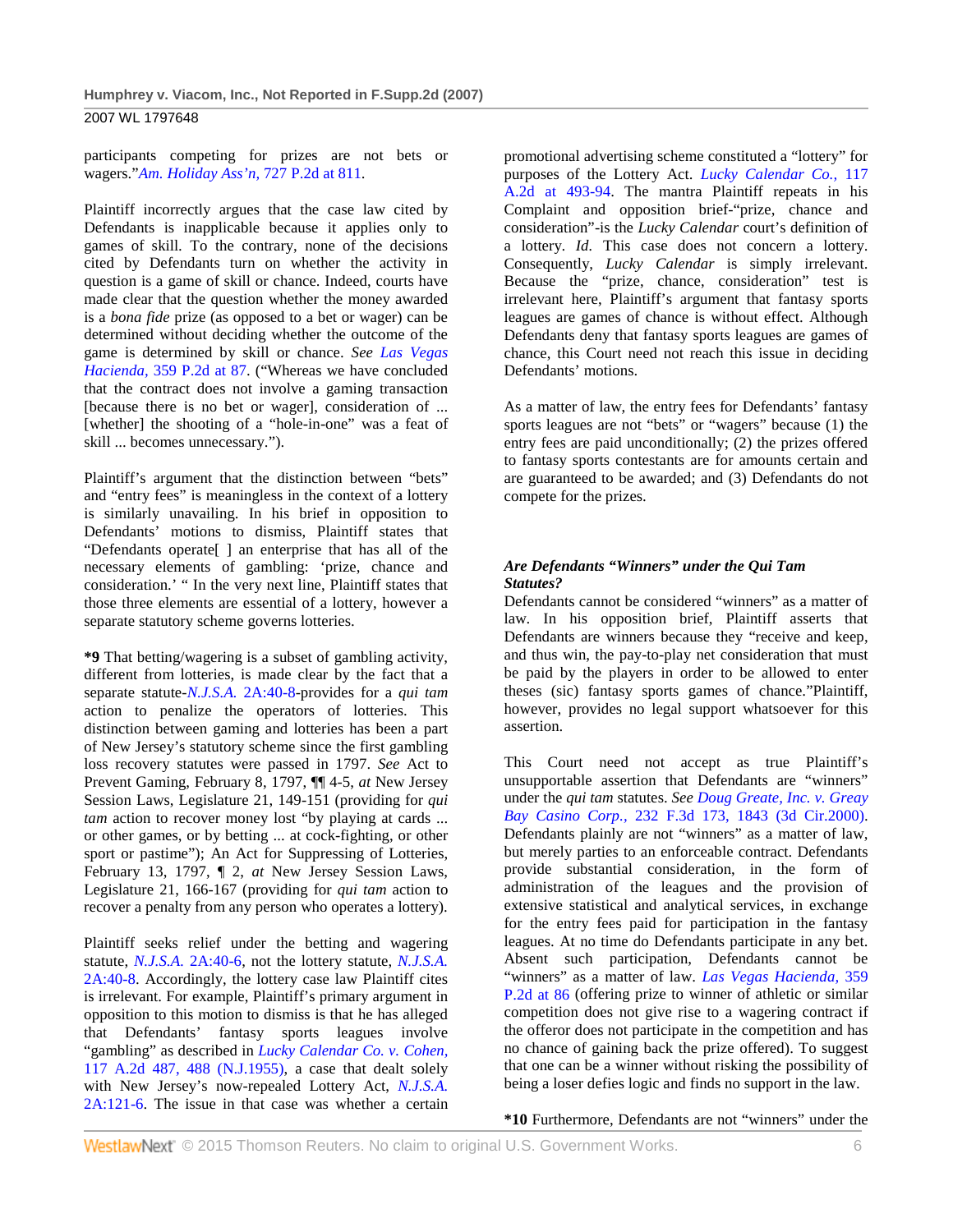participants competing for prizes are not bets or wagers."*[Am. Holiday Ass'n,](http://www.westlaw.com/Link/Document/FullText?findType=Y&serNum=1986148288&pubNum=661&originatingDoc=I5dedf7b621c611dcaf8dafd7ee2b8b26&refType=RP&fi=co_pp_sp_661_811&originationContext=document&vr=3.0&rs=cblt1.0&transitionType=DocumentItem&contextData=(sc.UserEnteredCitation)#co_pp_sp_661_811)* 727 P.2d at 811.

Plaintiff incorrectly argues that the case law cited by Defendants is inapplicable because it applies only to games of skill. To the contrary, none of the decisions cited by Defendants turn on whether the activity in question is a game of skill or chance. Indeed, courts have made clear that the question whether the money awarded is a *bona fide* prize (as opposed to a bet or wager) can be determined without deciding whether the outcome of the game is determined by skill or chance. *See [Las Vegas](http://www.westlaw.com/Link/Document/FullText?findType=Y&serNum=1961167199&pubNum=661&originatingDoc=I5dedf7b621c611dcaf8dafd7ee2b8b26&refType=RP&fi=co_pp_sp_661_87&originationContext=document&vr=3.0&rs=cblt1.0&transitionType=DocumentItem&contextData=(sc.UserEnteredCitation)#co_pp_sp_661_87)  Hacienda,* [359 P.2d at 87.](http://www.westlaw.com/Link/Document/FullText?findType=Y&serNum=1961167199&pubNum=661&originatingDoc=I5dedf7b621c611dcaf8dafd7ee2b8b26&refType=RP&fi=co_pp_sp_661_87&originationContext=document&vr=3.0&rs=cblt1.0&transitionType=DocumentItem&contextData=(sc.UserEnteredCitation)#co_pp_sp_661_87) ("Whereas we have concluded that the contract does not involve a gaming transaction [because there is no bet or wager], consideration of ... [whether] the shooting of a "hole-in-one" was a feat of skill ... becomes unnecessary.").

Plaintiff's argument that the distinction between "bets" and "entry fees" is meaningless in the context of a lottery is similarly unavailing. In his brief in opposition to Defendants' motions to dismiss, Plaintiff states that "Defendants operate[ ] an enterprise that has all of the necessary elements of gambling: 'prize, chance and consideration.' " In the very next line, Plaintiff states that those three elements are essential of a lottery, however a separate statutory scheme governs lotteries.

**\*9** That betting/wagering is a subset of gambling activity, different from lotteries, is made clear by the fact that a separate statute-*N.J.S.A.* [2A:40-8-](http://www.westlaw.com/Link/Document/FullText?findType=L&pubNum=1000045&cite=NJST2A%3a40-8&originatingDoc=I5dedf7b621c611dcaf8dafd7ee2b8b26&refType=LQ&originationContext=document&vr=3.0&rs=cblt1.0&transitionType=DocumentItem&contextData=(sc.UserEnteredCitation))provides for a *qui tam* action to penalize the operators of lotteries. This distinction between gaming and lotteries has been a part of New Jersey's statutory scheme since the first gambling loss recovery statutes were passed in 1797. *See* Act to Prevent Gaming, February 8, 1797, ¶¶ 4-5, *at* New Jersey Session Laws, Legislature 21, 149-151 (providing for *qui tam* action to recover money lost "by playing at cards ... or other games, or by betting ... at cock-fighting, or other sport or pastime"); An Act for Suppressing of Lotteries, February 13, 1797, ¶ 2, *at* New Jersey Session Laws, Legislature 21, 166-167 (providing for *qui tam* action to recover a penalty from any person who operates a lottery).

Plaintiff seeks relief under the betting and wagering statute, *N.J.S.A.* [2A:40-6,](http://www.westlaw.com/Link/Document/FullText?findType=L&pubNum=1000045&cite=NJST2A%3a40-6&originatingDoc=I5dedf7b621c611dcaf8dafd7ee2b8b26&refType=LQ&originationContext=document&vr=3.0&rs=cblt1.0&transitionType=DocumentItem&contextData=(sc.UserEnteredCitation)) not the lottery statute, *[N.J.S.A.](http://www.westlaw.com/Link/Document/FullText?findType=L&pubNum=1000045&cite=NJST2A%3a40-8&originatingDoc=I5dedf7b621c611dcaf8dafd7ee2b8b26&refType=LQ&originationContext=document&vr=3.0&rs=cblt1.0&transitionType=DocumentItem&contextData=(sc.UserEnteredCitation))* [2A:40-8.](http://www.westlaw.com/Link/Document/FullText?findType=L&pubNum=1000045&cite=NJST2A%3a40-8&originatingDoc=I5dedf7b621c611dcaf8dafd7ee2b8b26&refType=LQ&originationContext=document&vr=3.0&rs=cblt1.0&transitionType=DocumentItem&contextData=(sc.UserEnteredCitation)) Accordingly, the lottery case law Plaintiff cites is irrelevant. For example, Plaintiff's primary argument in opposition to this motion to dismiss is that he has alleged that Defendants' fantasy sports leagues involve "gambling" as described in *[Lucky Calendar Co. v. Cohen,](http://www.westlaw.com/Link/Document/FullText?findType=Y&serNum=1955110999&pubNum=162&originatingDoc=I5dedf7b621c611dcaf8dafd7ee2b8b26&refType=RP&fi=co_pp_sp_162_488&originationContext=document&vr=3.0&rs=cblt1.0&transitionType=DocumentItem&contextData=(sc.UserEnteredCitation)#co_pp_sp_162_488)* [117 A.2d 487, 488 \(N.J.1955\),](http://www.westlaw.com/Link/Document/FullText?findType=Y&serNum=1955110999&pubNum=162&originatingDoc=I5dedf7b621c611dcaf8dafd7ee2b8b26&refType=RP&fi=co_pp_sp_162_488&originationContext=document&vr=3.0&rs=cblt1.0&transitionType=DocumentItem&contextData=(sc.UserEnteredCitation)#co_pp_sp_162_488) a case that dealt solely with New Jersey's now-repealed Lottery Act, *[N.J.S.A.](http://www.westlaw.com/Link/Document/FullText?findType=L&pubNum=1000045&cite=NJST2A%3a121-6&originatingDoc=I5dedf7b621c611dcaf8dafd7ee2b8b26&refType=LQ&originationContext=document&vr=3.0&rs=cblt1.0&transitionType=DocumentItem&contextData=(sc.UserEnteredCitation))* [2A:121-6.](http://www.westlaw.com/Link/Document/FullText?findType=L&pubNum=1000045&cite=NJST2A%3a121-6&originatingDoc=I5dedf7b621c611dcaf8dafd7ee2b8b26&refType=LQ&originationContext=document&vr=3.0&rs=cblt1.0&transitionType=DocumentItem&contextData=(sc.UserEnteredCitation)) The issue in that case was whether a certain

promotional advertising scheme constituted a "lottery" for purposes of the Lottery Act. *[Lucky Calendar Co.,](http://www.westlaw.com/Link/Document/FullText?findType=Y&serNum=1955110999&pubNum=162&originatingDoc=I5dedf7b621c611dcaf8dafd7ee2b8b26&refType=RP&fi=co_pp_sp_162_493&originationContext=document&vr=3.0&rs=cblt1.0&transitionType=DocumentItem&contextData=(sc.UserEnteredCitation)#co_pp_sp_162_493)* 117 [A.2d at 493-94.](http://www.westlaw.com/Link/Document/FullText?findType=Y&serNum=1955110999&pubNum=162&originatingDoc=I5dedf7b621c611dcaf8dafd7ee2b8b26&refType=RP&fi=co_pp_sp_162_493&originationContext=document&vr=3.0&rs=cblt1.0&transitionType=DocumentItem&contextData=(sc.UserEnteredCitation)#co_pp_sp_162_493) The mantra Plaintiff repeats in his Complaint and opposition brief-"prize, chance and consideration"-is the *Lucky Calendar* court's definition of a lottery. *Id.* This case does not concern a lottery. Consequently, *Lucky Calendar* is simply irrelevant. Because the "prize, chance, consideration" test is irrelevant here, Plaintiff's argument that fantasy sports leagues are games of chance is without effect. Although Defendants deny that fantasy sports leagues are games of chance, this Court need not reach this issue in deciding Defendants' motions.

As a matter of law, the entry fees for Defendants' fantasy sports leagues are not "bets" or "wagers" because (1) the entry fees are paid unconditionally; (2) the prizes offered to fantasy sports contestants are for amounts certain and are guaranteed to be awarded; and (3) Defendants do not compete for the prizes.

# *Are Defendants "Winners" under the Qui Tam Statutes?*

Defendants cannot be considered "winners" as a matter of law. In his opposition brief, Plaintiff asserts that Defendants are winners because they "receive and keep, and thus win, the pay-to-play net consideration that must be paid by the players in order to be allowed to enter theses (sic) fantasy sports games of chance."Plaintiff, however, provides no legal support whatsoever for this assertion.

This Court need not accept as true Plaintiff's unsupportable assertion that Defendants are "winners" under the *qui tam* statutes. *See [Doug Greate, Inc. v. Greay](http://www.westlaw.com/Link/Document/FullText?findType=Y&serNum=2000601659&pubNum=506&originatingDoc=I5dedf7b621c611dcaf8dafd7ee2b8b26&refType=RP&originationContext=document&vr=3.0&rs=cblt1.0&transitionType=DocumentItem&contextData=(sc.UserEnteredCitation))  Bay Casino Corp.,* [232 F.3d 173, 1843 \(3d Cir.2000\).](http://www.westlaw.com/Link/Document/FullText?findType=Y&serNum=2000601659&pubNum=506&originatingDoc=I5dedf7b621c611dcaf8dafd7ee2b8b26&refType=RP&originationContext=document&vr=3.0&rs=cblt1.0&transitionType=DocumentItem&contextData=(sc.UserEnteredCitation))  Defendants plainly are not "winners" as a matter of law, but merely parties to an enforceable contract. Defendants provide substantial consideration, in the form of administration of the leagues and the provision of extensive statistical and analytical services, in exchange for the entry fees paid for participation in the fantasy leagues. At no time do Defendants participate in any bet. Absent such participation, Defendants cannot be "winners" as a matter of law. *[Las Vegas Hacienda,](http://www.westlaw.com/Link/Document/FullText?findType=Y&serNum=1961167199&pubNum=661&originatingDoc=I5dedf7b621c611dcaf8dafd7ee2b8b26&refType=RP&fi=co_pp_sp_661_86&originationContext=document&vr=3.0&rs=cblt1.0&transitionType=DocumentItem&contextData=(sc.UserEnteredCitation)#co_pp_sp_661_86)* 359 [P.2d at 86](http://www.westlaw.com/Link/Document/FullText?findType=Y&serNum=1961167199&pubNum=661&originatingDoc=I5dedf7b621c611dcaf8dafd7ee2b8b26&refType=RP&fi=co_pp_sp_661_86&originationContext=document&vr=3.0&rs=cblt1.0&transitionType=DocumentItem&contextData=(sc.UserEnteredCitation)#co_pp_sp_661_86) (offering prize to winner of athletic or similar competition does not give rise to a wagering contract if the offeror does not participate in the competition and has no chance of gaining back the prize offered). To suggest that one can be a winner without risking the possibility of being a loser defies logic and finds no support in the law.

**\*10** Furthermore, Defendants are not "winners" under the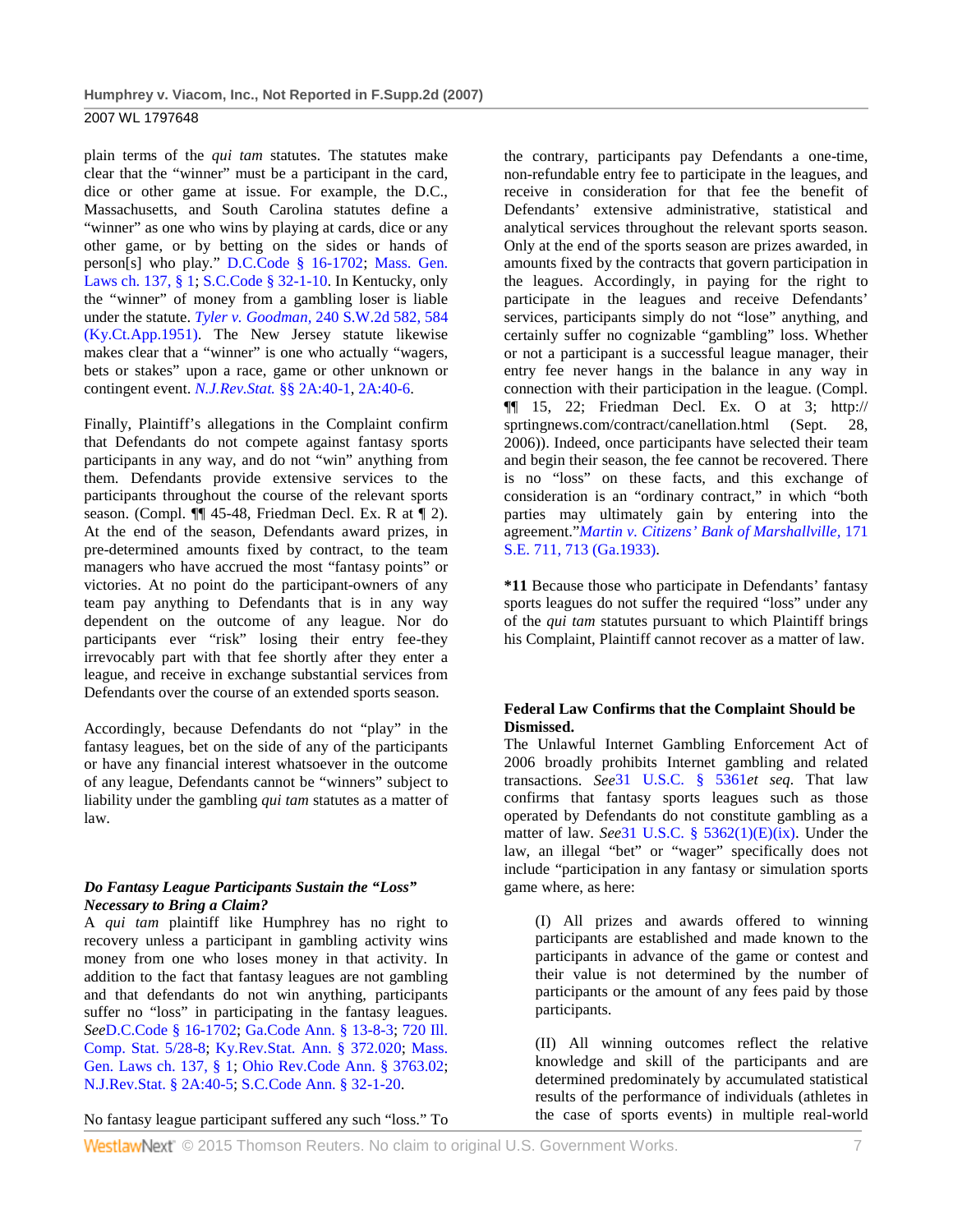plain terms of the *qui tam* statutes. The statutes make clear that the "winner" must be a participant in the card, dice or other game at issue. For example, the D.C., Massachusetts, and South Carolina statutes define a "winner" as one who wins by playing at cards, dice or any other game, or by betting on the sides or hands of person[s] who play." [D.C.Code § 16-1702;](http://www.westlaw.com/Link/Document/FullText?findType=L&pubNum=1000869&cite=DCCODES16-1702&originatingDoc=I5dedf7b621c611dcaf8dafd7ee2b8b26&refType=LQ&originationContext=document&vr=3.0&rs=cblt1.0&transitionType=DocumentItem&contextData=(sc.UserEnteredCitation)) [Mass. Gen.](http://www.westlaw.com/Link/Document/FullText?findType=L&pubNum=1000042&cite=MAST137S1&originatingDoc=I5dedf7b621c611dcaf8dafd7ee2b8b26&refType=LQ&originationContext=document&vr=3.0&rs=cblt1.0&transitionType=DocumentItem&contextData=(sc.UserEnteredCitation))  [Laws ch. 137, § 1;](http://www.westlaw.com/Link/Document/FullText?findType=L&pubNum=1000042&cite=MAST137S1&originatingDoc=I5dedf7b621c611dcaf8dafd7ee2b8b26&refType=LQ&originationContext=document&vr=3.0&rs=cblt1.0&transitionType=DocumentItem&contextData=(sc.UserEnteredCitation)) [S.C.Code § 32-1-10.](http://www.westlaw.com/Link/Document/FullText?findType=L&pubNum=1001530&cite=SCSTS32-1-10&originatingDoc=I5dedf7b621c611dcaf8dafd7ee2b8b26&refType=LQ&originationContext=document&vr=3.0&rs=cblt1.0&transitionType=DocumentItem&contextData=(sc.UserEnteredCitation)) In Kentucky, only the "winner" of money from a gambling loser is liable under the statute. *Tyler v. Goodman,* [240 S.W.2d 582, 584](http://www.westlaw.com/Link/Document/FullText?findType=Y&serNum=1951115883&pubNum=713&originatingDoc=I5dedf7b621c611dcaf8dafd7ee2b8b26&refType=RP&fi=co_pp_sp_713_584&originationContext=document&vr=3.0&rs=cblt1.0&transitionType=DocumentItem&contextData=(sc.UserEnteredCitation)#co_pp_sp_713_584)  [\(Ky.Ct.App.1951\).](http://www.westlaw.com/Link/Document/FullText?findType=Y&serNum=1951115883&pubNum=713&originatingDoc=I5dedf7b621c611dcaf8dafd7ee2b8b26&refType=RP&fi=co_pp_sp_713_584&originationContext=document&vr=3.0&rs=cblt1.0&transitionType=DocumentItem&contextData=(sc.UserEnteredCitation)#co_pp_sp_713_584) The New Jersey statute likewise makes clear that a "winner" is one who actually "wagers, bets or stakes" upon a race, game or other unknown or contingent event. *[N.J.Rev.Stat.](http://www.westlaw.com/Link/Document/FullText?findType=L&pubNum=1000045&cite=NJST2A%3a40-1&originatingDoc=I5dedf7b621c611dcaf8dafd7ee2b8b26&refType=LQ&originationContext=document&vr=3.0&rs=cblt1.0&transitionType=DocumentItem&contextData=(sc.UserEnteredCitation))* §§ 2A:40-1, [2A:40-6.](http://www.westlaw.com/Link/Document/FullText?findType=L&pubNum=1000045&cite=NJST2A%3a40-6&originatingDoc=I5dedf7b621c611dcaf8dafd7ee2b8b26&refType=LQ&originationContext=document&vr=3.0&rs=cblt1.0&transitionType=DocumentItem&contextData=(sc.UserEnteredCitation))

Finally, Plaintiff's allegations in the Complaint confirm that Defendants do not compete against fantasy sports participants in any way, and do not "win" anything from them. Defendants provide extensive services to the participants throughout the course of the relevant sports season. (Compl. ¶¶ 45-48, Friedman Decl. Ex. R at ¶ 2). At the end of the season, Defendants award prizes, in pre-determined amounts fixed by contract, to the team managers who have accrued the most "fantasy points" or victories. At no point do the participant-owners of any team pay anything to Defendants that is in any way dependent on the outcome of any league. Nor do participants ever "risk" losing their entry fee-they irrevocably part with that fee shortly after they enter a league, and receive in exchange substantial services from Defendants over the course of an extended sports season.

Accordingly, because Defendants do not "play" in the fantasy leagues, bet on the side of any of the participants or have any financial interest whatsoever in the outcome of any league, Defendants cannot be "winners" subject to liability under the gambling *qui tam* statutes as a matter of law.

## *Do Fantasy League Participants Sustain the "Loss" Necessary to Bring a Claim?*

A *qui tam* plaintiff like Humphrey has no right to recovery unless a participant in gambling activity wins money from one who loses money in that activity. In addition to the fact that fantasy leagues are not gambling and that defendants do not win anything, participants suffer no "loss" in participating in the fantasy leagues. *See*[D.C.Code § 16-1702;](http://www.westlaw.com/Link/Document/FullText?findType=L&pubNum=1000869&cite=DCCODES16-1702&originatingDoc=I5dedf7b621c611dcaf8dafd7ee2b8b26&refType=LQ&originationContext=document&vr=3.0&rs=cblt1.0&transitionType=DocumentItem&contextData=(sc.UserEnteredCitation)) [Ga.Code Ann.](http://www.westlaw.com/Link/Document/FullText?findType=L&pubNum=1000468&cite=GAST13-8-3&originatingDoc=I5dedf7b621c611dcaf8dafd7ee2b8b26&refType=LQ&originationContext=document&vr=3.0&rs=cblt1.0&transitionType=DocumentItem&contextData=(sc.UserEnteredCitation)) § 13-8-3; [720 Ill.](http://www.westlaw.com/Link/Document/FullText?findType=L&pubNum=1000008&cite=ILSTC720S5%2f28-8&originatingDoc=I5dedf7b621c611dcaf8dafd7ee2b8b26&refType=LQ&originationContext=document&vr=3.0&rs=cblt1.0&transitionType=DocumentItem&contextData=(sc.UserEnteredCitation))  [Comp. Stat. 5/28-8;](http://www.westlaw.com/Link/Document/FullText?findType=L&pubNum=1000008&cite=ILSTC720S5%2f28-8&originatingDoc=I5dedf7b621c611dcaf8dafd7ee2b8b26&refType=LQ&originationContext=document&vr=3.0&rs=cblt1.0&transitionType=DocumentItem&contextData=(sc.UserEnteredCitation)) [Ky.Rev.Stat. Ann. § 372.020;](http://www.westlaw.com/Link/Document/FullText?findType=L&pubNum=1000010&cite=KYSTS372.020&originatingDoc=I5dedf7b621c611dcaf8dafd7ee2b8b26&refType=LQ&originationContext=document&vr=3.0&rs=cblt1.0&transitionType=DocumentItem&contextData=(sc.UserEnteredCitation)) [Mass.](http://www.westlaw.com/Link/Document/FullText?findType=L&pubNum=1000042&cite=MAST137S1&originatingDoc=I5dedf7b621c611dcaf8dafd7ee2b8b26&refType=LQ&originationContext=document&vr=3.0&rs=cblt1.0&transitionType=DocumentItem&contextData=(sc.UserEnteredCitation))  [Gen. Laws ch. 137, § 1;](http://www.westlaw.com/Link/Document/FullText?findType=L&pubNum=1000042&cite=MAST137S1&originatingDoc=I5dedf7b621c611dcaf8dafd7ee2b8b26&refType=LQ&originationContext=document&vr=3.0&rs=cblt1.0&transitionType=DocumentItem&contextData=(sc.UserEnteredCitation)) [Ohio Rev.Code Ann. § 3763.02;](http://www.westlaw.com/Link/Document/FullText?findType=L&pubNum=1000279&cite=OHSTS3763.02&originatingDoc=I5dedf7b621c611dcaf8dafd7ee2b8b26&refType=LQ&originationContext=document&vr=3.0&rs=cblt1.0&transitionType=DocumentItem&contextData=(sc.UserEnteredCitation)) [N.J.Rev.Stat. § 2A:40-5;](http://www.westlaw.com/Link/Document/FullText?findType=L&pubNum=1000045&cite=NJST2A%3a40-5&originatingDoc=I5dedf7b621c611dcaf8dafd7ee2b8b26&refType=LQ&originationContext=document&vr=3.0&rs=cblt1.0&transitionType=DocumentItem&contextData=(sc.UserEnteredCitation)) [S.C.Code Ann. § 32-1-20.](http://www.westlaw.com/Link/Document/FullText?findType=L&pubNum=1001530&cite=SCSTS32-1-20&originatingDoc=I5dedf7b621c611dcaf8dafd7ee2b8b26&refType=LQ&originationContext=document&vr=3.0&rs=cblt1.0&transitionType=DocumentItem&contextData=(sc.UserEnteredCitation))

No fantasy league participant suffered any such "loss." To

the contrary, participants pay Defendants a one-time, non-refundable entry fee to participate in the leagues, and receive in consideration for that fee the benefit of Defendants' extensive administrative, statistical and analytical services throughout the relevant sports season. Only at the end of the sports season are prizes awarded, in amounts fixed by the contracts that govern participation in the leagues. Accordingly, in paying for the right to participate in the leagues and receive Defendants' services, participants simply do not "lose" anything, and certainly suffer no cognizable "gambling" loss. Whether or not a participant is a successful league manager, their entry fee never hangs in the balance in any way in connection with their participation in the league. (Compl. ¶¶ 15, 22; Friedman Decl. Ex. O at 3; http:// sprtingnews.com/contract/canellation.html (Sept. 28, 2006)). Indeed, once participants have selected their team and begin their season, the fee cannot be recovered. There is no "loss" on these facts, and this exchange of consideration is an "ordinary contract," in which "both parties may ultimately gain by entering into the agreement."*[Martin v. Citizens' Bank of Marshallville,](http://www.westlaw.com/Link/Document/FullText?findType=Y&serNum=1933105991&pubNum=710&originatingDoc=I5dedf7b621c611dcaf8dafd7ee2b8b26&refType=RP&fi=co_pp_sp_710_713&originationContext=document&vr=3.0&rs=cblt1.0&transitionType=DocumentItem&contextData=(sc.UserEnteredCitation)#co_pp_sp_710_713)* 171 [S.E. 711, 713 \(Ga.1933\).](http://www.westlaw.com/Link/Document/FullText?findType=Y&serNum=1933105991&pubNum=710&originatingDoc=I5dedf7b621c611dcaf8dafd7ee2b8b26&refType=RP&fi=co_pp_sp_710_713&originationContext=document&vr=3.0&rs=cblt1.0&transitionType=DocumentItem&contextData=(sc.UserEnteredCitation)#co_pp_sp_710_713)

**\*11** Because those who participate in Defendants' fantasy sports leagues do not suffer the required "loss" under any of the *qui tam* statutes pursuant to which Plaintiff brings his Complaint, Plaintiff cannot recover as a matter of law.

### **Federal Law Confirms that the Complaint Should be Dismissed.**

The Unlawful Internet Gambling Enforcement Act of 2006 broadly prohibits Internet gambling and related transactions. *See*[31 U.S.C. § 5361](http://www.westlaw.com/Link/Document/FullText?findType=L&pubNum=1000546&cite=31USCAS5361&originatingDoc=I5dedf7b621c611dcaf8dafd7ee2b8b26&refType=LQ&originationContext=document&vr=3.0&rs=cblt1.0&transitionType=DocumentItem&contextData=(sc.UserEnteredCitation))*et seq.* That law confirms that fantasy sports leagues such as those operated by Defendants do not constitute gambling as a matter of law. *See*[31 U.S.C. § 5362\(1\)\(E\)\(ix\).](http://www.westlaw.com/Link/Document/FullText?findType=L&pubNum=1000546&cite=31USCAS5362&originatingDoc=I5dedf7b621c611dcaf8dafd7ee2b8b26&refType=LQ&originationContext=document&vr=3.0&rs=cblt1.0&transitionType=DocumentItem&contextData=(sc.UserEnteredCitation)) Under the law, an illegal "bet" or "wager" specifically does not include "participation in any fantasy or simulation sports game where, as here:

(I) All prizes and awards offered to winning participants are established and made known to the participants in advance of the game or contest and their value is not determined by the number of participants or the amount of any fees paid by those participants.

(II) All winning outcomes reflect the relative knowledge and skill of the participants and are determined predominately by accumulated statistical results of the performance of individuals (athletes in the case of sports events) in multiple real-world